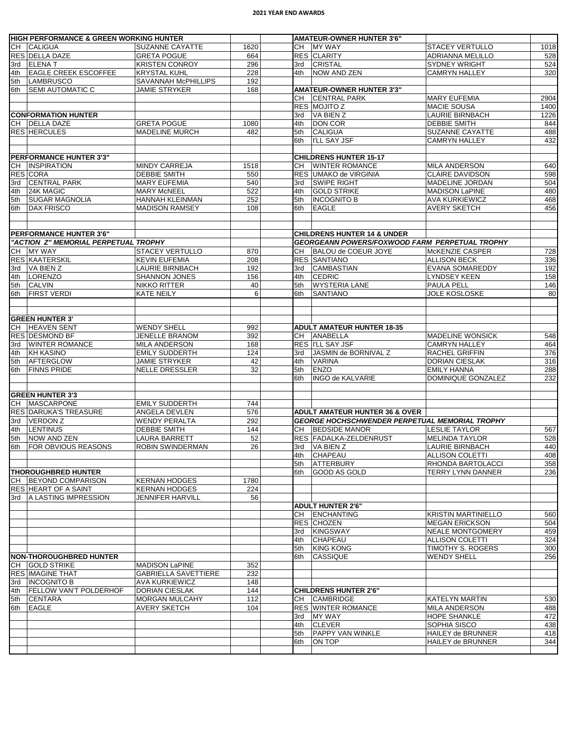## **2021 YEAR END AWARDS**

|     | <b>HIGH PERFORMANCE &amp; GREEN WORKING HUNTER</b>      |                             |           |     | <b>AMATEUR-OWNER HUNTER 3'6"</b>                      |                                           |              |  |  |
|-----|---------------------------------------------------------|-----------------------------|-----------|-----|-------------------------------------------------------|-------------------------------------------|--------------|--|--|
|     | CH CALIGUA                                              | <b>SUZANNE CAYATTE</b>      | 1620      |     | CH MY WAY                                             | <b>STACEY VERTULLO</b>                    | 1018         |  |  |
|     | RES DELLA DAZE                                          | <b>GRETA POGUE</b>          | 664       |     | <b>RES CLARITY</b>                                    | ADRIANNA MELILLO                          | 528          |  |  |
| 3rd | <b>ELENAT</b>                                           | <b>KRISTEN CONROY</b>       | 296       | 3rd | <b>CRISTAL</b>                                        | <b>SYDNEY WRIGHT</b>                      | 524          |  |  |
| 4th | <b>EAGLE CREEK ESCOFFEE</b>                             | <b>KRYSTAL KUHL</b>         | 228       | 4th | <b>NOW AND ZEN</b>                                    | <b>CAMRYN HALLEY</b>                      | 320          |  |  |
| 5th | <b>LAMBRUSCO</b>                                        | SAVANNAH McPHILLIPS         | 192       |     |                                                       |                                           |              |  |  |
| 6th | <b>SEMI AUTOMATIC C</b>                                 | JAMIE STRYKER               | 168       |     | <b>AMATEUR-OWNER HUNTER 3'3"</b>                      |                                           |              |  |  |
|     |                                                         |                             |           |     | CH CENTRAL PARK<br>RES MOJITO Z                       | <b>MARY EUFEMIA</b><br><b>MACIE SOUSA</b> | 2904         |  |  |
|     | <b>CONFORMATION HUNTER</b>                              |                             |           |     | 3rd   VA BIEN Z                                       |                                           | 1400<br>1226 |  |  |
|     | CH DELLA DAZE                                           | <b>GRETA POGUE</b>          | 1080      | 4th | DON COR                                               | LAURIE BIRNBACH<br><b>DEBBIE SMITH</b>    | 844          |  |  |
|     | RES HERCULES                                            | <b>MADELINE MURCH</b>       | 482       | 5th | <b>CALIGUA</b>                                        | SUZANNE CAYATTE                           | 488          |  |  |
|     |                                                         |                             |           | 6th | <b>I'LL SAY JSF</b>                                   | <b>CAMRYN HALLEY</b>                      | 432          |  |  |
|     |                                                         |                             |           |     |                                                       |                                           |              |  |  |
|     | <b>PERFORMANCE HUNTER 3'3"</b>                          |                             |           |     | <b>CHILDRENS HUNTER 15-17</b>                         |                                           |              |  |  |
|     | CH INSPIRATION                                          | <b>MINDY CARREJA</b>        | 1518      | CH  | <b>WINTER ROMANCE</b>                                 | <b>MILA ANDERSON</b>                      | 640          |  |  |
|     | RES CORA                                                | <b>DEBBIE SMITH</b>         | 550       |     | RES UMAKO de VIRGINIA                                 | <b>CLAIRE DAVIDSON</b>                    | 598          |  |  |
| 3rd | <b>CENTRAL PARK</b>                                     | <b>MARY EUFEMIA</b>         | 540       |     | 3rd SWIPE RIGHT                                       | MADELINE JORDAN                           | 504          |  |  |
| 4th | 24K MAGIC                                               | <b>MARY McNEEL</b>          | 522       | 4th | <b>GOLD STRIKE</b>                                    | <b>MADISON LaPINE</b>                     | 480          |  |  |
| 5th | <b>SUGAR MAGNOLIA</b>                                   | HANNAH KLEINMAN             | 252       | 5th | <b>INCOGNITO B</b>                                    | <b>AVA KURKIEWICZ</b>                     | 468          |  |  |
| 6th | <b>DAX FRISCO</b>                                       | <b>MADISON RAMSEY</b>       | 108       | 6th | <b>EAGLE</b>                                          | <b>AVERY SKETCH</b>                       | 456          |  |  |
|     |                                                         |                             |           |     |                                                       |                                           |              |  |  |
|     |                                                         |                             |           |     |                                                       |                                           |              |  |  |
|     | PERFORMANCE HUNTER 3'6"                                 |                             |           |     | <b>CHILDRENS HUNTER 14 &amp; UNDER</b>                |                                           |              |  |  |
|     | "ACTION Z" MEMORIAL PERPETUAL TROPHY                    |                             |           |     | GEORGEANN POWERS/FOXWOOD FARM PERPETUAL TROPHY        |                                           |              |  |  |
|     | CH MY WAY                                               | <b>STACEY VERTULLO</b>      | 870       |     | CH BALOU de COEUR JOYE                                | McKENZIE CASPER                           | 728          |  |  |
|     | RES KAATERSKIL                                          | <b>KEVIN EUFEMIA</b>        | 208       |     | <b>RES SANTIANO</b>                                   | <b>ALLISON BECK</b>                       | 336          |  |  |
|     | 3rd VA BIEN Z                                           | <b>LAURIE BIRNBACH</b>      | 192       | 3rd | <b>CAMBASTIAN</b>                                     | EVANA SOMAREDDY                           | 192          |  |  |
| 4th | <b>LORENZO</b>                                          | <b>SHANNON JONES</b>        | 156       | 4th | <b>CEDRIC</b>                                         | <b>LYNDSEY KEEN</b>                       | 158          |  |  |
| 5th | <b>CALVIN</b>                                           | NIKKO RITTER                | 40        | 5th | <b>WYSTERIA LANE</b>                                  | PAULA PELL                                | 146          |  |  |
| 6th | <b>FIRST VERDI</b>                                      | <b>KATE NEILY</b>           | 6         | 6th | <b>SANTIANO</b>                                       | <b>JOLE KOSLOSKE</b>                      | 80           |  |  |
|     |                                                         |                             |           |     |                                                       |                                           |              |  |  |
|     |                                                         |                             |           |     |                                                       |                                           |              |  |  |
|     | <b>GREEN HUNTER 3'</b>                                  |                             |           |     |                                                       |                                           |              |  |  |
|     | CH   HEAVEN SENT                                        | <b>WENDY SHELL</b>          | 992       |     | <b>ADULT AMATEUR HUNTER 18-35</b>                     |                                           |              |  |  |
|     | RES DESMOND BF                                          | <b>JENELLE BRANOM</b>       | 392       |     | CH ANABELLA                                           | <b>MADELINE WONSICK</b>                   | 548          |  |  |
| 3rd | <b>WINTER ROMANCE</b>                                   | <b>MILA ANDERSON</b>        | 168       |     | <b>RES I'LL SAY JSF</b>                               | <b>CAMRYN HALLEY</b>                      | 464          |  |  |
| 4th | <b>KH KASINO</b>                                        | <b>EMILY SUDDERTH</b>       | 124       |     | 3rd JASMIN de BORNIVAL Z                              | <b>RACHEL GRIFFIN</b>                     | 376          |  |  |
| 5th | AFTERGLOW                                               | <b>JAMIE STRYKER</b>        | 42        | 4th | <b>VARINA</b>                                         | <b>DORIAN CIESLAK</b>                     | 316          |  |  |
| 6th | <b>FINNS PRIDE</b>                                      | <b>NELLE DRESSLER</b>       | 32        | 5th | ENZO                                                  | <b>EMILY HANNA</b>                        | 288          |  |  |
|     |                                                         |                             |           | 6th | <b>INGO de KALVARIE</b>                               | DOMINIQUE GONZALEZ                        | 232          |  |  |
|     |                                                         |                             |           |     |                                                       |                                           |              |  |  |
|     | <b>GREEN HUNTER 3'3</b>                                 |                             |           |     |                                                       |                                           |              |  |  |
| CН  | <b>MASCARPONE</b>                                       | <b>EMILY SUDDERTH</b>       | 744       |     |                                                       |                                           |              |  |  |
|     | <b>RES DARUKA'S TREASURE</b>                            | ANGELA DEVLEN               | 576       |     | <b>ADULT AMATEUR HUNTER 36 &amp; OVER</b>             |                                           |              |  |  |
| 3rd | VERDON Z                                                | <b>WENDY PERALTA</b>        | 292       |     | <b>GEORGE HOCHSCHWENDER PERPETUAL MEMORIAL TROPHY</b> |                                           |              |  |  |
| 4th | <b>LENTINUS</b>                                         | <b>DEBBIE SMITH</b>         | 144       |     | CH BEDSIDE MANOR                                      | <b>LESLIE TAYLOR</b>                      | 567          |  |  |
| 5th | <b>NOW AND ZEN</b>                                      | <b>LAURA BARRETT</b>        | 52        |     | RES FADALKA-ZELDENRUST                                | <b>MELINDA TAYLOR</b>                     | 528          |  |  |
| 6th | <b>FOR OBVIOUS REASONS</b>                              | ROBIN SWINDERMAN            | 26        |     | 3rd VA BIEN Z                                         | <b>LAURIE BIRNBACH</b>                    | 440          |  |  |
|     |                                                         |                             |           |     | 4th CHAPEAU                                           | <b>ALLISON COLETTI</b>                    | 408          |  |  |
|     |                                                         |                             |           | 5th | <b>ATTERBURY</b>                                      | RHONDA BARTOLACCI                         | 358          |  |  |
|     | <b>THOROUGHBRED HUNTER</b>                              |                             |           | 6th | <b>GOOD AS GOLD</b>                                   | <b>TERRY LYNN DANNER</b>                  | 236          |  |  |
|     | CH   BEYOND COMPARISON                                  | <b>KERNAN HODGES</b>        | 1780      |     |                                                       |                                           |              |  |  |
|     | <b>RES HEART OF A SAINT</b><br>3rd A LASTING IMPRESSION | <b>KERNAN HODGES</b>        | 224<br>56 |     |                                                       |                                           |              |  |  |
|     |                                                         | JENNIFER HARVILL            |           |     | <b>ADULT HUNTER 2'6"</b>                              |                                           |              |  |  |
|     |                                                         |                             |           |     | CH ENCHANTING                                         | <b>KRISTIN MARTINIELLO</b>                | 560          |  |  |
|     |                                                         |                             |           |     | <b>RES CHOZEN</b>                                     | <b>MEGAN ERICKSON</b>                     | 504          |  |  |
|     |                                                         |                             |           |     | 3rd KINGSWAY                                          | <b>NEALE MONTGOMERY</b>                   | 459          |  |  |
|     |                                                         |                             |           | 4th | <b>CHAPEAU</b>                                        | <b>ALLISON COLETTI</b>                    | 324          |  |  |
|     |                                                         |                             |           | 5th | <b>KING KONG</b>                                      | TIMOTHY S. ROGERS                         | 300          |  |  |
|     | <b>NON-THOROUGHBRED HUNTER</b>                          |                             |           | 6th | <b>CASSIQUE</b>                                       | <b>WENDY SHELL</b>                        | 256          |  |  |
|     | CH GOLD STRIKE                                          | <b>MADISON LaPINE</b>       | 352       |     |                                                       |                                           |              |  |  |
|     | <b>RES IMAGINE THAT</b>                                 | <b>GABRIELLA SAVETTIERE</b> | 232       |     |                                                       |                                           |              |  |  |
|     | 3rd   INCOGNITO B                                       | <b>AVA KURKIEWICZ</b>       | 148       |     |                                                       |                                           |              |  |  |
|     | 4th   FELLOW VAN'T POLDERHOF                            | DORIAN CIESLAK              | 144       |     | <b>CHILDRENS HUNTER 2'6"</b>                          |                                           |              |  |  |
| 5th | <b>CENTARA</b>                                          | <b>MORGAN MULCAHY</b>       | 112       |     | CH CAMBRIDGE                                          | KATELYN MARTIN                            | 530          |  |  |
| 6th | <b>EAGLE</b>                                            | <b>AVERY SKETCH</b>         | 104       |     | <b>RES WINTER ROMANCE</b>                             | <b>MILA ANDERSON</b>                      | 488          |  |  |
|     |                                                         |                             |           |     | 3rd MY WAY                                            | <b>HOPE SHANKLE</b>                       | 472          |  |  |
|     |                                                         |                             |           | 4th | <b>CLEVER</b>                                         | SOPHIA SISCO                              | 438          |  |  |
|     |                                                         |                             |           | 5th | <b>PAPPY VAN WINKLE</b>                               | HAILEY de BRUNNER                         | 418          |  |  |
|     |                                                         |                             |           | 6th | <b>ON TOP</b>                                         | HAILEY de BRUNNER                         | 344          |  |  |
|     |                                                         |                             |           |     |                                                       |                                           |              |  |  |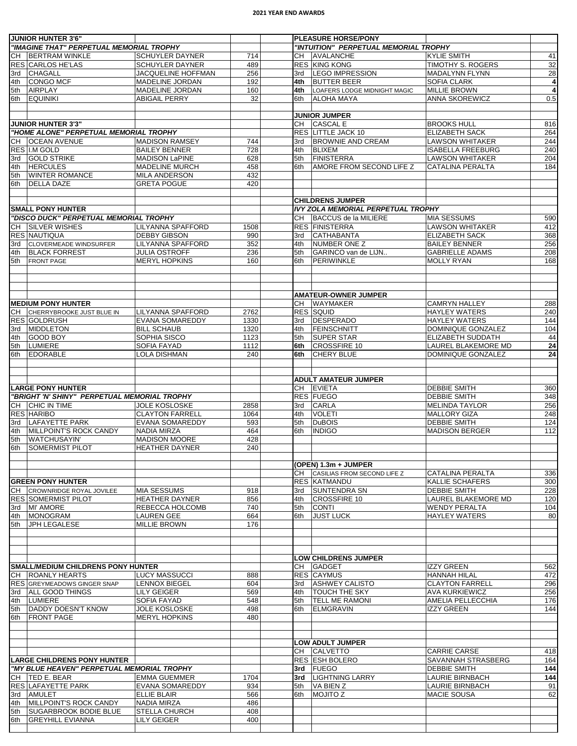## **2021 YEAR END AWARDS**

|            | <b>JUNIOR HUNTER 3'6"</b>                    |                                                  |              |            | <b>PLEASURE HORSE/PONY</b>                    |                                                   |                |
|------------|----------------------------------------------|--------------------------------------------------|--------------|------------|-----------------------------------------------|---------------------------------------------------|----------------|
|            | "IMAGINE THAT" PERPETUAL MEMORIAL TROPHY     |                                                  |              |            | "INTUITION" PERPETUAL MEMORIAL TROPHY         |                                                   |                |
| CH         | <b>BERTRAM WINKLE</b><br>RES CARLOS HE'LAS   | <b>SCHUYLER DAYNER</b><br><b>SCHUYLER DAYNER</b> | 714<br>489   | CH         | AVALANCHE<br><b>RES KING KONG</b>             | <b>KYLIE SMITH</b><br>TIMOTHY S. ROGERS           | 41<br>32       |
| 3rd        | <b>CHAGALL</b>                               | JACQUELINE HOFFMAN                               | 256          | 3rd        | <b>LEGO IMPRESSION</b>                        | MADALYNN FLYNN                                    | 28             |
| 4th        | <b>CONGO MCF</b>                             | MADELINE JORDAN                                  | 192          | 4th        | <b>BUTTER BEER</b>                            | SOFIA CLARK                                       | 4              |
| 5th        | AIRPLAY                                      | <b>MADELINE JORDAN</b>                           | 160          | 4th        | LOAFERS LODGE MIDNIGHT MAGIC                  | <b>MILLIE BROWN</b>                               | $\overline{4}$ |
| 6th        | <b>EQUINIKI</b>                              | <b>ABIGAIL PERRY</b>                             | 32           | 6th        | <b>ALOHA MAYA</b>                             | <b>ANNA SKOREWICZ</b>                             | 0.5            |
|            |                                              |                                                  |              |            | <b>JUNIOR JUMPER</b>                          |                                                   |                |
|            | <b>JUNIOR HUNTER 3'3"</b>                    |                                                  |              | CH         | CASCAL E                                      | <b>BROOKS HULL</b>                                | 816            |
|            | "HOME ALONE" PERPETUAL MEMORIAL TROPHY       |                                                  |              |            | RES LITTLE JACK 10                            | <b>ELIZABETH SACK</b>                             | 264            |
| CH         | <b>OCEAN AVENUE</b>                          | <b>MADISON RAMSEY</b>                            | 744          | 3rd        | <b>BROWNIE AND CREAM</b>                      | <b>LAWSON WHITAKER</b>                            | 244            |
|            | RES I.M GOLD                                 | <b>BAILEY BENNER</b>                             | 728          | 4th        | <b>BLIXEM</b>                                 | <b>ISABELLA FREEBURG</b>                          | 240            |
| 3rd<br>4th | <b>GOLD STRIKE</b><br><b>HERCULES</b>        | <b>MADISON LaPINE</b><br><b>MADELINE MURCH</b>   | 628<br>458   | 5th<br>6th | <b>FINISTERRA</b><br>AMORE FROM SECOND LIFE Z | <b>LAWSON WHITAKER</b><br><b>CATALINA PERALTA</b> | 204<br>184     |
| 5th        | <b>WINTER ROMANCE</b>                        | <b>MILA ANDERSON</b>                             | 432          |            |                                               |                                                   |                |
| 6th        | <b>DELLA DAZE</b>                            | <b>GRETA POGUE</b>                               | 420          |            |                                               |                                                   |                |
|            |                                              |                                                  |              |            | <b>CHILDRENS JUMPER</b>                       |                                                   |                |
|            | <b>SMALL PONY HUNTER</b>                     |                                                  |              |            | <b>IVY ZOLA MEMORIAL PERPETUAL TROPHY</b>     |                                                   |                |
|            | "DISCO DUCK" PERPETUAL MEMORIAL TROPHY       |                                                  |              | CH         | BACCUS de la MILIERE                          | MIA SESSUMS                                       | 590            |
|            | CH SILVER WISHES                             | <b>LILYANNA SPAFFORD</b>                         | 1508         |            | <b>RES FINISTERRA</b>                         | <b>LAWSON WHITAKER</b>                            | 412            |
|            | <b>RES NAUTIQUA</b>                          | <b>DEBBY GIBSON</b>                              | 990          | 3rd        | <b>CATHABANTA</b>                             | <b>ELIZABETH SACK</b>                             | 368            |
| 3rd        | <b>CLOVERMEADE WINDSURFER</b>                | <b>LILYANNA SPAFFORD</b>                         | 352          | 4th        | NUMBER ONE Z                                  | <b>BAILEY BENNER</b>                              | 256            |
| 4th        | <b>BLACK FORREST</b>                         | <b>JULIA OSTROFF</b>                             | 236          | 5th        | GARINCO van de LIJN                           | <b>GABRIELLE ADAMS</b>                            | 208            |
| 5th        | <b>FRONT PAGE</b>                            | <b>MERYL HOPKINS</b>                             | 160          | 6th        | PERIWINKLE                                    | <b>MOLLY RYAN</b>                                 | 168            |
|            |                                              |                                                  |              |            |                                               |                                                   |                |
|            |                                              |                                                  |              |            | <b>AMATEUR-OWNER JUMPER</b>                   |                                                   |                |
|            | <b>MEDIUM PONY HUNTER</b>                    |                                                  |              |            | CH WAYMAKER                                   | <b>CAMRYN HALLEY</b>                              | 288            |
| CH         | CHERRYBROOKE JUST BLUE IN                    | <b>LILYANNA SPAFFORD</b>                         | 2762         |            | <b>RES SQUID</b>                              | <b>HAYLEY WATERS</b>                              | 240            |
|            | <b>RES GOLDRUSH</b>                          | <b>EVANA SOMAREDDY</b>                           | 1330         | 3rd        | DESPERADO                                     | <b>HAYLEY WATERS</b>                              | 144            |
| 3rd        | <b>MIDDLETON</b>                             | <b>BILL SCHAUB</b>                               | 1320         | 4th        | FEINSCHNITT                                   | DOMINIQUE GONZALEZ                                | 104            |
| 4th<br>5th | <b>GOOD BOY</b><br><b>LUMIERE</b>            | SOPHIA SISCO<br><b>SOFIA FAYAD</b>               | 1123<br>1112 | 5th<br>6th | <b>SUPER STAR</b><br><b>CROSSFIRE 10</b>      | ELIZABETH SUDDATH<br>LAUREL BLAKEMORE MD          | 44<br>24       |
| 6th        | <b>EDORABLE</b>                              | LOLA DISHMAN                                     | 240          | 6th        | <b>CHERY BLUE</b>                             | DOMINIQUE GONZALEZ                                | 24             |
|            |                                              |                                                  |              |            |                                               |                                                   |                |
|            |                                              |                                                  |              |            | <b>ADULT AMATEUR JUMPER</b>                   |                                                   |                |
|            | <b>LARGE PONY HUNTER</b>                     |                                                  |              |            | CH EVIETA                                     | <b>DEBBIE SMITH</b>                               | 360            |
|            | "BRIGHT 'N' SHINY" PERPETUAL MEMORIAL TROPHY |                                                  |              |            | RES FUEGO                                     | <b>DEBBIE SMITH</b>                               | 348            |
|            | CH CHIC IN TIME                              | <b>JOLE KOSLOSKE</b>                             | 2858         | 3rd        | <b>CARLA</b>                                  | <b>MELINDA TAYLOR</b>                             | 256            |
| 3rd        | <b>RES HARIBO</b><br><b>LAFAYETTE PARK</b>   | <b>CLAYTON FARRELL</b><br><b>EVANA SOMAREDDY</b> | 1064<br>593  | 4th<br>5th | <b>VOLETI</b><br><b>DuBOIS</b>                | <b>MALLORY GIZA</b><br><b>DEBBIE SMITH</b>        | 248<br>124     |
| 4th        | MILLPOINT'S ROCK CANDY                       | <b>NADIA MIRZA</b>                               | 464          | 6th        | <b>INDIGO</b>                                 | <b>MADISON BERGER</b>                             | 112            |
| 5th        | <b>WATCHUSAYIN</b>                           | <b>MADISON MOORE</b>                             | 428          |            |                                               |                                                   |                |
| 6th        | <b>SOMERMIST PILOT</b>                       | <b>HEATHER DAYNER</b>                            | 240          |            |                                               |                                                   |                |
|            |                                              |                                                  |              |            | (OPEN) 1.3m + JUMPER                          |                                                   |                |
|            |                                              |                                                  |              |            | CH CASILIAS FROM SECOND LIFE Z                | CATALINA PERALTA                                  | 336            |
|            | <b>GREEN PONY HUNTER</b>                     |                                                  |              |            | <b>RES KATMANDU</b>                           | <b>KALLIE SCHAFERS</b>                            | 300            |
|            | CH CROWNRIDGE ROYAL JOVILEE                  | <b>MIA SESSUMS</b>                               | 918          | 3rd        | <b>SUNTENDRA SN</b>                           | <b>DEBBIE SMITH</b>                               | 228            |
|            | <b>RES SOMERMIST PILOT</b><br>3rd MI' AMORE  | <b>HEATHER DAYNER</b><br>REBECCA HOLCOMB         | 856<br>740   | 4th        | CROSSFIRE 10<br><b>CONTI</b>                  | LAUREL BLAKEMORE MD<br><b>WENDY PERALTA</b>       | 120<br>104     |
| 4th        | <b>MONOGRAM</b>                              | <b>LAUREN GEE</b>                                | 664          | 5th<br>6th | <b>JUST LUCK</b>                              | <b>HAYLEY WATERS</b>                              | 80             |
| 5th        | JPH LEGALESE                                 | <b>MILLIE BROWN</b>                              | 176          |            |                                               |                                                   |                |
|            |                                              |                                                  |              |            |                                               |                                                   |                |
|            |                                              |                                                  |              |            | <b>LOW CHILDRENS JUMPER</b>                   |                                                   |                |
|            | SMALL/MEDIUM CHILDRENS PONY HUNTER           |                                                  |              |            | CH GADGET                                     | <b>IZZY GREEN</b>                                 | 562            |
|            | CH   ROANLY HEARTS                           | <b>LUCY MASSUCCI</b>                             | 888          |            | <b>RES CAYMUS</b>                             | <b>HANNAH HILAL</b>                               | 472            |
|            | <b>RES GREYMEADOWS GINGER SNAP</b>           | <b>LENNOX BIEGEL</b>                             | 604          | 3rd        | <b>ASHWEY CALISTO</b>                         | <b>CLAYTON FARRELL</b>                            | 296            |
|            | 3rd   ALL GOOD THINGS                        | <b>LILY GEIGER</b>                               | 569          | 4th        | <b>TOUCH THE SKY</b>                          | <b>AVA KURKIEWICZ</b>                             | 256            |
| 4th        | <b>LUMIERE</b><br><b>DADDY DOESN'T KNOW</b>  | <b>SOFIA FAYAD</b><br><b>JOLE KOSLOSKE</b>       | 548<br>498   | 5th        | <b>TELL ME RAMONI</b><br>ELMGRAVIN            | AMELIA PELLECCHIA<br><b>IZZY GREEN</b>            | 176<br>144     |
| 5th<br>6th | <b>FRONT PAGE</b>                            | <b>MERYL HOPKINS</b>                             | 480          | 6th        |                                               |                                                   |                |
|            |                                              |                                                  |              |            |                                               |                                                   |                |
|            |                                              |                                                  |              |            | <b>LOW ADULT JUMPER</b><br>CH CALVETTO        | <b>CARRIE CARSE</b>                               | 418            |
|            | <b>LARGE CHILDRENS PONY HUNTER</b>           |                                                  |              |            | RES ESH BOLERO                                | SAVANNAH STRASBERG                                | 164            |
|            | "MY BLUE HEAVEN" PERPETUAL MEMORIAL TROPHY   |                                                  |              |            | 3rd FUEGO                                     | <b>DEBBIE SMITH</b>                               | 144            |
|            | CH   TED E. BEAR                             | <b>EMMA GUEMMER</b>                              | 1704         |            | 3rd   LIGHTNING LARRY                         | LAURIE BIRNBACH                                   | 144            |
|            | RES LAFAYETTE PARK                           | <b>EVANA SOMAREDDY</b>                           | 934          | 5th        | VA BIEN Z                                     | LAURIE BIRNBACH                                   | 91             |
|            | 3rd   AMULET                                 | <b>ELLIE BLAIR</b>                               | 566          | 6th        | <b>MOJITO Z</b>                               | <b>MACIE SOUSA</b>                                | 62             |
| 4th        | MILLPOINT'S ROCK CANDY                       | <b>NADIA MIRZA</b>                               | 486          |            |                                               |                                                   |                |
| 5th        | <b>SUGARBROOK BODIE BLUE</b>                 | <b>STELLA CHURCH</b>                             | 408          |            |                                               |                                                   |                |
| 6th        | <b>GREYHILL EVIANNA</b>                      | <b>LILY GEIGER</b>                               | 400          |            |                                               |                                                   |                |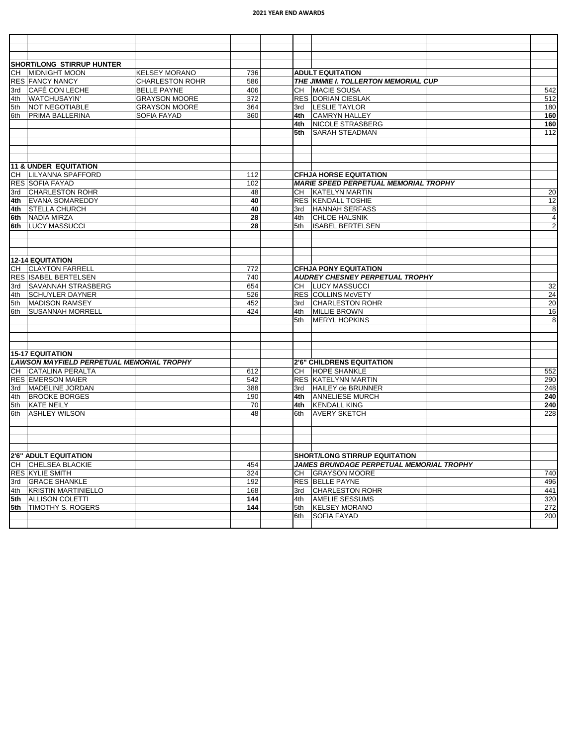## **2021 YEAR END AWARDS**

| <b>SHORT/LONG STIRRUP HUNTER</b>                 |                        |     |     |                                              |                |
|--------------------------------------------------|------------------------|-----|-----|----------------------------------------------|----------------|
| CH MIDNIGHT MOON                                 | <b>KELSEY MORANO</b>   | 736 |     | <b>ADULT EQUITATION</b>                      |                |
| <b>RES FANCY NANCY</b>                           | <b>CHARLESTON ROHR</b> | 586 |     | THE JIMMIE I. TOLLERTON MEMORIAL CUP         |                |
| 3rd CAFÉ CON LECHE                               | <b>BELLE PAYNE</b>     | 406 |     | CH MACIE SOUSA                               | 542            |
| 4th WATCHUSAYIN'                                 | <b>GRAYSON MOORE</b>   | 372 |     | <b>RES DORIAN CIESLAK</b>                    | 512            |
| 5th NOT NEGOTIABLE                               | <b>GRAYSON MOORE</b>   | 364 |     | 3rd   LESLIE TAYLOR                          | 180            |
| 6th   PRIMA BALLERINA                            | SOFIA FAYAD            | 360 |     | 4th CAMRYN HALLEY                            | 160            |
|                                                  |                        |     |     | 4th   NICOLE STRASBERG                       | 160            |
|                                                  |                        |     | 5th | <b>SARAH STEADMAN</b>                        | 112            |
|                                                  |                        |     |     |                                              |                |
| <b>11 &amp; UNDER EQUITATION</b>                 |                        |     |     |                                              |                |
| CH LILYANNA SPAFFORD                             |                        | 112 |     | <b>CFHJA HORSE EQUITATION</b>                |                |
| <b>RES SOFIA FAYAD</b>                           |                        | 102 |     | <b>MARIE SPEED PERPETUAL MEMORIAL TROPHY</b> |                |
| 3rd CHARLESTON ROHR                              |                        | 48  |     | CH   KATELYN MARTIN                          | 20             |
| 4th EVANA SOMAREDDY                              |                        | 40  |     | <b>RES KENDALL TOSHIE</b>                    | 12             |
| 4th STELLA CHURCH                                |                        | 40  |     | 3rd   HANNAH SERFASS                         | 8              |
| 6th NADIA MIRZA                                  |                        | 28  |     | 4th CHLOE HALSNIK                            | 4              |
| 6th LUCY MASSUCCI                                |                        | 28  | 5th | <b>ISABEL BERTELSEN</b>                      | $\overline{2}$ |
|                                                  |                        |     |     |                                              |                |
| <b>12-14 EQUITATION</b>                          |                        |     |     |                                              |                |
| CH CLAYTON FARRELL                               |                        | 772 |     | <b>CFHJA PONY EQUITATION</b>                 |                |
| <b>RES ISABEL BERTELSEN</b>                      |                        | 740 |     | <b>AUDREY CHESNEY PERPETUAL TROPHY</b>       |                |
| 3rd   SAVANNAH STRASBERG                         |                        | 654 |     | CH   LUCY MASSUCCI                           | 32             |
| 4th SCHUYLER DAYNER                              |                        | 526 |     | <b>RES COLLINS McVETY</b>                    | 24             |
| 5th MADISON RAMSEY                               |                        | 452 |     | 3rd CHARLESTON ROHR                          | 20             |
| 6th SUSANNAH MORRELL                             |                        | 424 | 4th | <b>MILLIE BROWN</b>                          | 16             |
|                                                  |                        |     | 5th | <b>MERYL HOPKINS</b>                         | 8              |
|                                                  |                        |     |     |                                              |                |
| 15-17 EQUITATION                                 |                        |     |     |                                              |                |
| <b>LAWSON MAYFIELD PERPETUAL MEMORIAL TROPHY</b> |                        |     |     | <b>2'6" CHILDRENS EQUITATION</b>             |                |
| CH CATALINA PERALTA                              |                        | 612 |     | CH  HOPE SHANKLE                             | 552            |
| <b>RES EMERSON MAIER</b>                         |                        | 542 |     | <b>RES KATELYNN MARTIN</b>                   | 290            |
| 3rd   MADELINE JORDAN                            |                        | 388 |     | 3rd   HAILEY de BRUNNER                      | 248            |
| 4th BROOKE BORGES                                |                        | 190 |     | 4th ANNELIESE MURCH                          | 240            |
| 5th KATE NEILY                                   |                        | 70  |     | 4th KENDALL KING                             | 240            |
| 6th ASHLEY WILSON                                |                        | 48  | 6th | <b>AVERY SKETCH</b>                          | 228            |
|                                                  |                        |     |     |                                              |                |
| 2'6" ADULT EQUITATION                            |                        |     |     | <b>SHORT/LONG STIRRUP EQUITATION</b>         |                |
| CH CHELSEA BLACKIE                               |                        | 454 |     | JAMES BRUNDAGE PERPETUAL MEMORIAL TROPHY     |                |
| <b>RES KYLIE SMITH</b>                           |                        | 324 |     | CH GRAYSON MOORE                             | 740            |
| 3rd GRACE SHANKLE                                |                        | 192 |     | <b>RES BELLE PAYNE</b>                       | 496            |
| 4th KRISTIN MARTINIELLO                          |                        | 168 |     | 3rd CHARLESTON ROHR                          | 441            |
| 5th ALLISON COLETTI                              |                        | 144 | 4th | <b>AMELIE SESSUMS</b>                        | 320            |
| 5th   TIMOTHY S. ROGERS                          |                        | 144 |     | 5th KELSEY MORANO                            | 272            |
|                                                  |                        |     | 6th | <b>SOFIA FAYAD</b>                           | 200            |
|                                                  |                        |     |     |                                              |                |